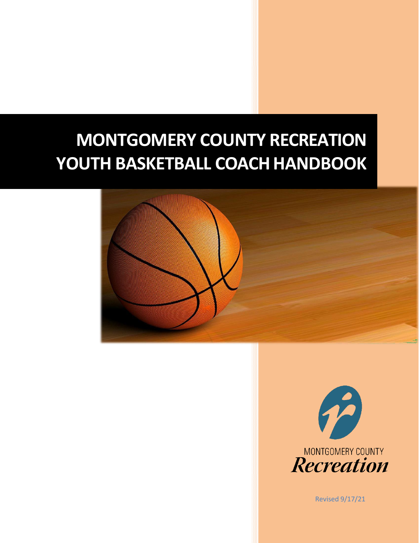# **MONTGOMERY COUNTY RECREATION**  YOUTH BASKETBALL COACH HANDBOOK





Revised 9/17/21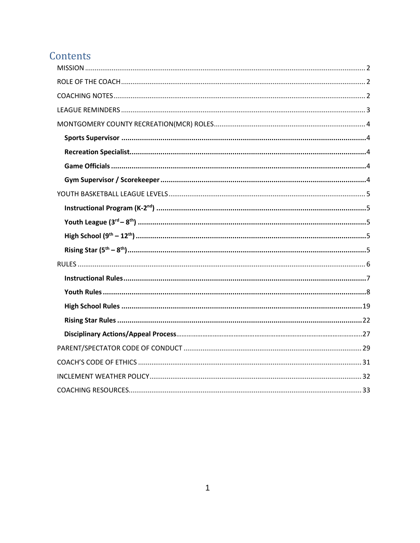## Contents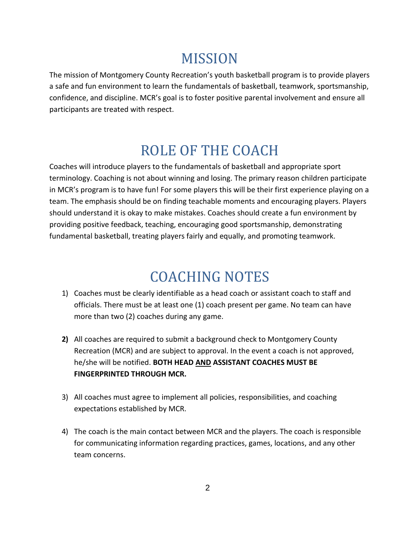## MISSION

<span id="page-2-0"></span>The mission of Montgomery County Recreation's youth basketball program is to provide players a safe and fun environment to learn the fundamentals of basketball, teamwork, sportsmanship, confidence, and discipline. MCR's goal is to foster positive parental involvement and ensure all participants are treated with respect.

## ROLE OF THE COACH

<span id="page-2-1"></span>Coaches will introduce players to the fundamentals of basketball and appropriate sport terminology. Coaching is not about winning and losing. The primary reason children participate in MCR's program is to have fun! For some players this will be their first experience playing on a team. The emphasis should be on finding teachable moments and encouraging players. Players should understand it is okay to make mistakes. Coaches should create a fun environment by providing positive feedback, teaching, encouraging good sportsmanship, demonstrating fundamental basketball, treating players fairly and equally, and promoting teamwork.

## COACHING NOTES

- <span id="page-2-2"></span>1) Coaches must be clearly identifiable as a head coach or assistant coach to staff and officials. There must be at least one (1) coach present per game. No team can have more than two (2) coaches during any game.
- **2)** All coaches are required to submit a background check to Montgomery County Recreation (MCR) and are subject to approval. In the event a coach is not approved, he/she will be notified. **BOTH HEAD AND ASSISTANT COACHES MUST BE FINGERPRINTED THROUGH MCR.**
- 3) All coaches must agree to implement all policies, responsibilities, and coaching expectations established by MCR.
- 4) The coach is the main contact between MCR and the players. The coach is responsible for communicating information regarding practices, games, locations, and any other team concerns.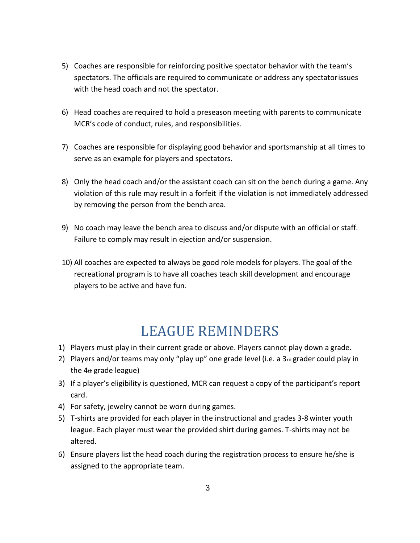- 5) Coaches are responsible for reinforcing positive spectator behavior with the team's spectators. The officials are required to communicate or address any spectatorissues with the head coach and not the spectator.
- 6) Head coaches are required to hold a preseason meeting with parents to communicate MCR's code of conduct, rules, and responsibilities.
- 7) Coaches are responsible for displaying good behavior and sportsmanship at all times to serve as an example for players and spectators.
- 8) Only the head coach and/or the assistant coach can sit on the bench during a game. Any violation of this rule may result in a forfeit if the violation is not immediately addressed by removing the person from the bench area.
- 9) No coach may leave the bench area to discuss and/or dispute with an official or staff. Failure to comply may result in ejection and/or suspension.
- 10) All coaches are expected to always be good role models for players. The goal of the recreational program is to have all coaches teach skill development and encourage players to be active and have fun.

## LEAGUE REMINDERS

- <span id="page-3-0"></span>1) Players must play in their current grade or above. Players cannot play down a grade.
- 2) Players and/or teams may only "play up" one grade level (i.e. a  $3rd$  grader could play in the 4th grade league)
- 3) If a player's eligibility is questioned, MCR can request a copy of the participant's report card.
- 4) For safety, jewelry cannot be worn during games.
- 5) T-shirts are provided for each player in the instructional and grades 3-8 winter youth league. Each player must wear the provided shirt during games. T-shirts may not be altered.
- 6) Ensure players list the head coach during the registration process to ensure he/she is assigned to the appropriate team.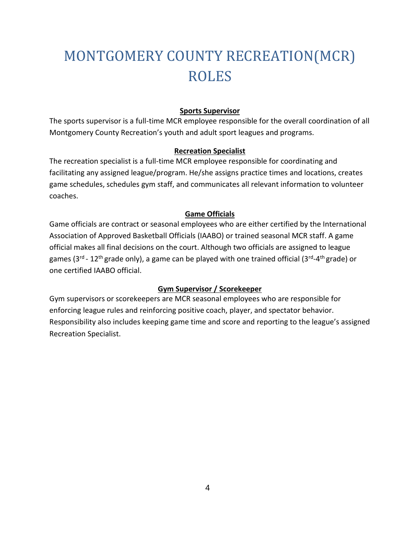# <span id="page-4-0"></span>MONTGOMERY COUNTY RECREATION(MCR) ROLES

#### **Sports Supervisor**

<span id="page-4-1"></span>The sports supervisor is a full-time MCR employee responsible for the overall coordination of all Montgomery County Recreation's youth and adult sport leagues and programs.

#### **Recreation Specialist**

<span id="page-4-2"></span>The recreation specialist is a full-time MCR employee responsible for coordinating and facilitating any assigned league/program. He/she assigns practice times and locations, creates game schedules, schedules gym staff, and communicates all relevant information to volunteer coaches.

#### **Game Officials**

<span id="page-4-3"></span>Game officials are contract or seasonal employees who are either certified by the International Association of Approved Basketball Officials (IAABO) or trained seasonal MCR staff. A game official makes all final decisions on the court. Although two officials are assigned to league games (3<sup>rd</sup> - 12<sup>th</sup> grade only), a game can be played with one trained official (3<sup>rd</sup>-4<sup>th</sup> grade) or one certified IAABO official.

#### **Gym Supervisor / Scorekeeper**

<span id="page-4-4"></span>Gym supervisors or scorekeepers are MCR seasonal employees who are responsible for enforcing league rules and reinforcing positive coach, player, and spectator behavior. Responsibility also includes keeping game time and score and reporting to the league's assigned Recreation Specialist.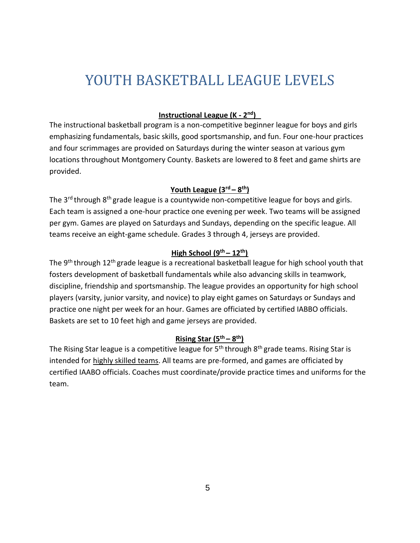## <span id="page-5-0"></span>YOUTH BASKETBALL LEAGUE LEVELS

#### <span id="page-5-1"></span>**Instructional League (K - 2 nd)**

The instructional basketball program is a non-competitive beginner league for boys and girls emphasizing fundamentals, basic skills, good sportsmanship, and fun. Four one-hour practices and four scrimmages are provided on Saturdays during the winter season at various gym locations throughout Montgomery County. Baskets are lowered to 8 feet and game shirts are provided.

#### <span id="page-5-2"></span>**Youth League (3rd – 8 th)**

The 3<sup>rd</sup> through 8<sup>th</sup> grade league is a countywide non-competitive league for boys and girls. Each team is assigned a one-hour practice one evening per week. Two teams will be assigned per gym. Games are played on Saturdays and Sundays, depending on the specific league. All teams receive an eight-game schedule. Grades 3 through 4, jerseys are provided.

#### <span id="page-5-3"></span>**High School**  $(9<sup>th</sup> – 12<sup>th</sup>)$

The 9<sup>th</sup> through 12<sup>th</sup> grade league is a recreational basketball league for high school youth that fosters development of basketball fundamentals while also advancing skills in teamwork, discipline, friendship and sportsmanship. The league provides an opportunity for high school players (varsity, junior varsity, and novice) to play eight games on Saturdays or Sundays and practice one night per week for an hour. Games are officiated by certified IABBO officials. Baskets are set to 10 feet high and game jerseys are provided.

#### <span id="page-5-4"></span>**Rising Star (5th – 8 th)**

The Rising Star league is a competitive league for 5<sup>th</sup> through 8<sup>th</sup> grade teams. Rising Star is intended for highly skilled teams. All teams are pre-formed, and games are officiated by certified IAABO officials. Coaches must coordinate/provide practice times and uniforms for the team.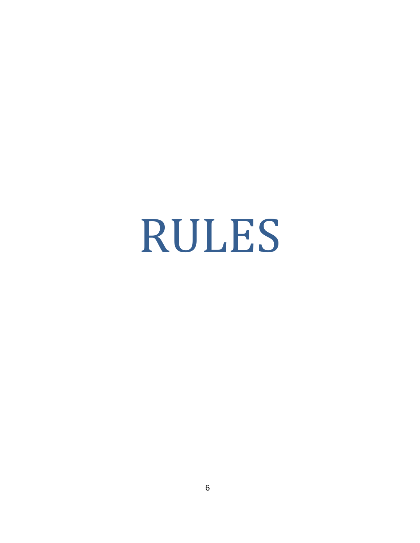# <span id="page-6-0"></span>RULES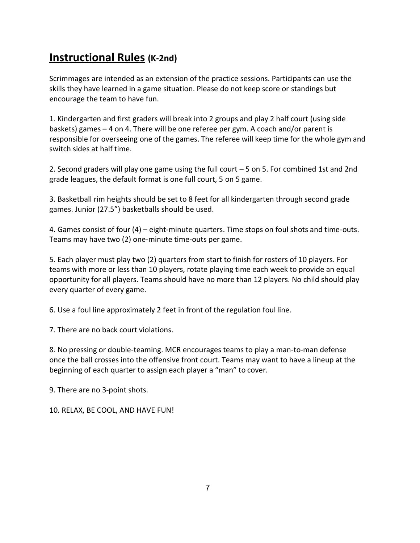## <span id="page-7-0"></span>**Instructional Rules (K-2nd)**

Scrimmages are intended as an extension of the practice sessions. Participants can use the skills they have learned in a game situation. Please do not keep score or standings but encourage the team to have fun.

1. Kindergarten and first graders will break into 2 groups and play 2 half court (using side baskets) games – 4 on 4. There will be one referee per gym. A coach and/or parent is responsible for overseeing one of the games. The referee will keep time for the whole gym and switch sides at half time.

2. Second graders will play one game using the full court – 5 on 5. For combined 1st and 2nd grade leagues, the default format is one full court, 5 on 5 game.

3. Basketball rim heights should be set to 8 feet for all kindergarten through second grade games. Junior (27.5") basketballs should be used.

4. Games consist of four (4) – eight-minute quarters. Time stops on foul shots and time-outs. Teams may have two (2) one-minute time-outs per game.

5. Each player must play two (2) quarters from start to finish for rosters of 10 players. For teams with more or less than 10 players, rotate playing time each week to provide an equal opportunity for all players. Teams should have no more than 12 players. No child should play every quarter of every game.

6. Use a foul line approximately 2 feet in front of the regulation foul line.

7. There are no back court violations.

8. No pressing or double-teaming. MCR encourages teams to play a man-to-man defense once the ball crosses into the offensive front court. Teams may want to have a lineup at the beginning of each quarter to assign each player a "man" to cover.

9. There are no 3-point shots.

10. RELAX, BE COOL, AND HAVE FUN!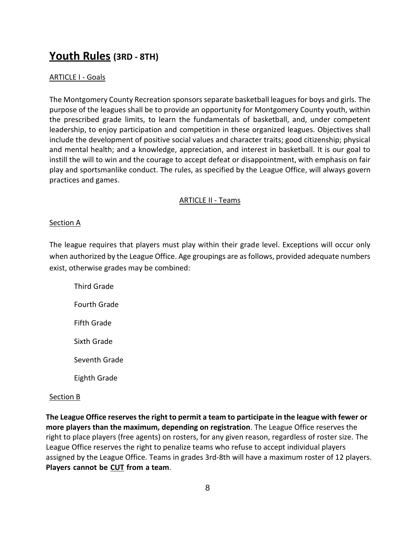### **Youth Rules (3RD - 8TH)**

#### **ARTICLE I - Goals**

The Montgomery County Recreation sponsors separate basketball leagues for boys and girls. The purpose of the leagues shall be to provide an opportunity for Montgomery County youth, within the prescribed grade limits, to learn the fundamentals of basketball, and, under competent leadership, to enjoy participation and competition in these organized leagues. Objectives shall include the development of positive social values and character traits; good citizenship; physical and mental health; and a knowledge, appreciation, and interest in basketball. It is our goal to instill the will to win and the courage to accept defeat or disappointment, with emphasis on fair play and sportsmanlike conduct. The rules, as specified by the League Office, will always govern practices and games.

#### ARTICLE II - Teams

#### Section A

The league requires that players must play within their grade level. Exceptions will occur only when authorized by the League Office. Age groupings are as follows, provided adequate numbers exist, otherwise grades may be combined:

Third Grade Fourth Grade Fifth Grade Sixth Grade Seventh Grade Eighth Grade

#### Section B

**The League Office reserves the right to permit a team to participate in the league with fewer or more players than the maximum, depending on registration**. The League Office reserves the right to place players (free agents) on rosters, for any given reason, regardless of roster size. The League Office reserves the right to penalize teams who refuse to accept individual players assigned by the League Office. Teams in grades 3rd-8th will have a maximum roster of 12 players. **Players cannot be CUT from a team**.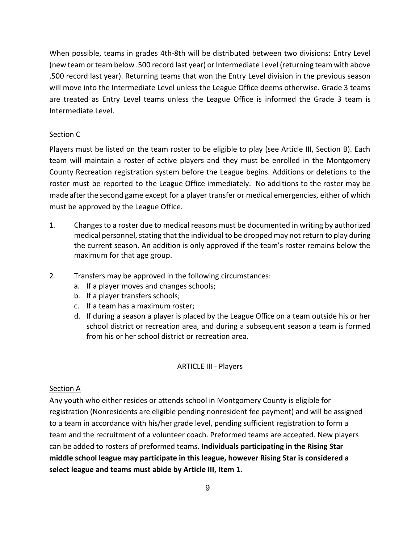When possible, teams in grades 4th-8th will be distributed between two divisions: Entry Level (new team orteam below .500 record last year) or Intermediate Level (returning team with above .500 record last year). Returning teams that won the Entry Level division in the previous season will move into the Intermediate Level unless the League Office deems otherwise. Grade 3 teams are treated as Entry Level teams unless the League Office is informed the Grade 3 team is Intermediate Level.

#### Section C

Players must be listed on the team roster to be eligible to play (see Article III, Section B). Each team will maintain a roster of active players and they must be enrolled in the Montgomery County Recreation registration system before the League begins. Additions or deletions to the roster must be reported to the League Office immediately. No additions to the roster may be made after the second game except for a player transfer or medical emergencies, either of which must be approved by the League Office.

- 1. Changesto a roster due to medical reasons must be documented in writing by authorized medical personnel, stating that the individual to be dropped may not return to play during the current season. An addition is only approved if the team's roster remains below the maximum for that age group.
- 2. Transfers may be approved in the following circumstances:
	- a. If a player moves and changes schools;
	- b. If a player transfers schools;
	- c. If a team has a maximum roster;
	- d. If during a season a player is placed by the League Office on a team outside his or her school district or recreation area, and during a subsequent season a team is formed from his or her school district or recreation area.

#### ARTICLE III - Players

#### Section A

Any youth who either resides or attends school in Montgomery County is eligible for registration (Nonresidents are eligible pending nonresident fee payment) and will be assigned to a team in accordance with his/her grade level, pending sufficient registration to form a team and the recruitment of a volunteer coach. Preformed teams are accepted. New players can be added to rosters of preformed teams. **Individuals participating in the Rising Star middle school league may participate in this league, however Rising Star is considered a select league and teams must abide by Article III, Item 1.**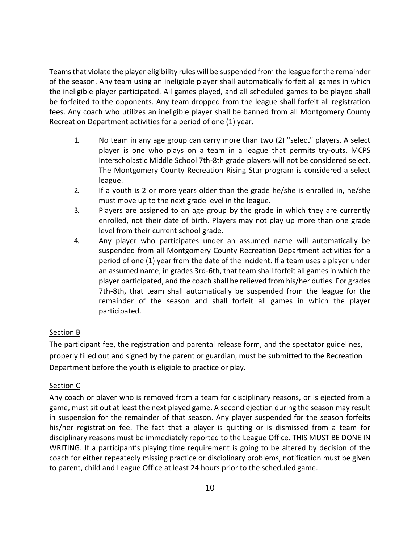Teamsthat violate the player eligibility rules will be suspended from the league for the remainder of the season. Any team using an ineligible player shall automatically forfeit all games in which the ineligible player participated. All games played, and all scheduled games to be played shall be forfeited to the opponents. Any team dropped from the league shall forfeit all registration fees. Any coach who utilizes an ineligible player shall be banned from all Montgomery County Recreation Department activities for a period of one (1) year.

- 1. No team in any age group can carry more than two (2) "select" players. A select player is one who plays on a team in a league that permits try-outs. MCPS Interscholastic Middle School 7th-8th grade players will not be considered select. The Montgomery County Recreation Rising Star program is considered a select league.
- 2. If a youth is 2 or more years older than the grade he/she is enrolled in, he/she must move up to the next grade level in the league.
- 3. Players are assigned to an age group by the grade in which they are currently enrolled, not their date of birth. Players may not play up more than one grade level from their current school grade.
- 4. Any player who participates under an assumed name will automatically be suspended from all Montgomery County Recreation Department activities for a period of one (1) year from the date of the incident. If a team uses a player under an assumed name, in grades 3rd-6th, that team shall forfeit all games in which the player participated, and the coach shall be relieved from his/her duties. For grades 7th-8th, that team shall automatically be suspended from the league for the remainder of the season and shall forfeit all games in which the player participated.

#### Section B

The participant fee, the registration and parental release form, and the spectator guidelines, properly filled out and signed by the parent or guardian, must be submitted to the Recreation Department before the youth is eligible to practice or play.

#### Section C

Any coach or player who is removed from a team for disciplinary reasons, or is ejected from a game, must sit out at least the next played game. A second ejection during the season may result in suspension for the remainder of that season. Any player suspended for the season forfeits his/her registration fee. The fact that a player is quitting or is dismissed from a team for disciplinary reasons must be immediately reported to the League Office. THIS MUST BE DONE IN WRITING. If a participant's playing time requirement is going to be altered by decision of the coach for either repeatedly missing practice or disciplinary problems, notification must be given to parent, child and League Office at least 24 hours prior to the scheduled game.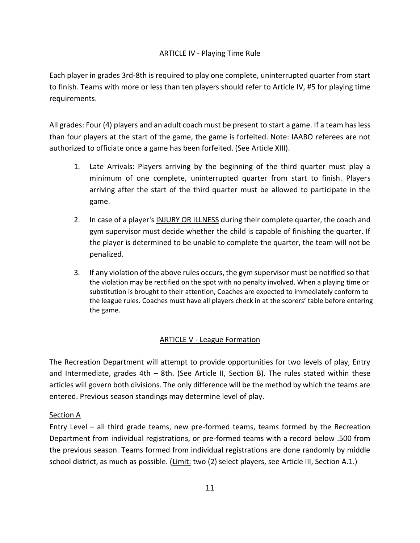#### ARTICLE IV - Playing Time Rule

Each player in grades 3rd-8th is required to play one complete, uninterrupted quarter from start to finish. Teams with more or less than ten players should refer to Article IV, #5 for playing time requirements.

All grades: Four (4) players and an adult coach must be present to start a game. If a team hasless than four players at the start of the game, the game is forfeited. Note: IAABO referees are not authorized to officiate once a game has been forfeited. (See Article XIII).

- 1. Late Arrivals: Players arriving by the beginning of the third quarter must play a minimum of one complete, uninterrupted quarter from start to finish. Players arriving after the start of the third quarter must be allowed to participate in the game.
- 2. In case of a player's INJURY OR ILLNESS during their complete quarter, the coach and gym supervisor must decide whether the child is capable of finishing the quarter. If the player is determined to be unable to complete the quarter, the team will not be penalized.
- 3. If any violation of the above rules occurs, the gym supervisor must be notified so that the violation may be rectified on the spot with no penalty involved. When a playing time or substitution is brought to their attention, Coaches are expected to immediately conform to the league rules. Coaches must have all players check in at the scorers' table before entering the game.

#### ARTICLE V - League Formation

The Recreation Department will attempt to provide opportunities for two levels of play, Entry and Intermediate, grades 4th – 8th. (See Article II, Section B). The rules stated within these articles will govern both divisions. The only difference will be the method by which the teams are entered. Previous season standings may determine level of play.

#### Section A

Entry Level – all third grade teams, new pre-formed teams, teams formed by the Recreation Department from individual registrations, or pre-formed teams with a record below .500 from the previous season. Teams formed from individual registrations are done randomly by middle school district, as much as possible. (Limit: two (2) select players, see Article III, Section A.1.)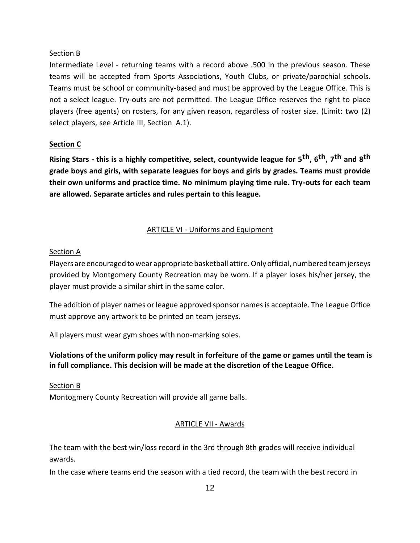#### Section B

Intermediate Level - returning teams with a record above .500 in the previous season. These teams will be accepted from Sports Associations, Youth Clubs, or private/parochial schools. Teams must be school or community-based and must be approved by the League Office. This is not a select league. Try-outs are not permitted. The League Office reserves the right to place players (free agents) on rosters, for any given reason, regardless of roster size. (Limit: two (2) select players, see Article III, Section A.1).

#### **Section C**

**Rising Stars - this is a highly competitive, select, countywide league for 5th, 6th, 7th and 8th grade boys and girls, with separate leagues for boys and girls by grades. Teams must provide their own uniforms and practice time. No minimum playing time rule. Try-outs for each team are allowed. Separate articles and rules pertain to this league.**

#### ARTICLE VI - Uniforms and Equipment

#### Section A

Players are encouraged towear appropriate basketball attire.Onlyofficial, numbered teamjerseys provided by Montgomery County Recreation may be worn. If a player loses his/her jersey, the player must provide a similar shirt in the same color.

The addition of player names or league approved sponsor names is acceptable. The League Office must approve any artwork to be printed on team jerseys.

All players must wear gym shoes with non-marking soles.

#### **Violations of the uniform policy may result in forfeiture of the game or games until the team is in full compliance. This decision will be made at the discretion of the League Office.**

#### Section B

Montogmery County Recreation will provide all game balls.

#### ARTICLE VII - Awards

The team with the best win/loss record in the 3rd through 8th grades will receive individual awards.

In the case where teams end the season with a tied record, the team with the best record in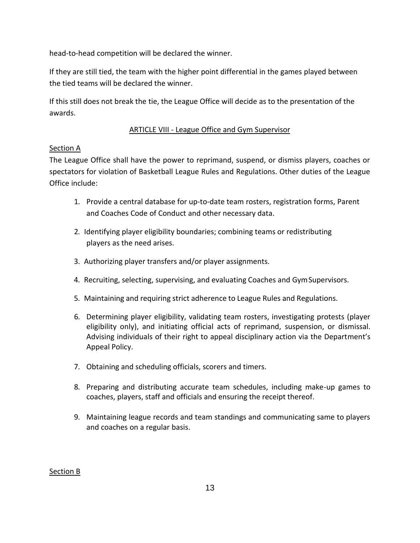head-to-head competition will be declared the winner.

If they are still tied, the team with the higher point differential in the games played between the tied teams will be declared the winner.

If this still does not break the tie, the League Office will decide as to the presentation of the awards.

#### ARTICLE VIII - League Office and Gym Supervisor

#### Section A

The League Office shall have the power to reprimand, suspend, or dismiss players, coaches or spectators for violation of Basketball League Rules and Regulations. Other duties of the League Office include:

- 1. Provide a central database for up-to-date team rosters, registration forms, Parent and Coaches Code of Conduct and other necessary data.
- 2. Identifying player eligibility boundaries; combining teams or redistributing players as the need arises.
- 3. Authorizing player transfers and/or player assignments.
- 4. Recruiting, selecting, supervising, and evaluating Coaches and GymSupervisors.
- 5. Maintaining and requiring strict adherence to League Rules and Regulations.
- 6. Determining player eligibility, validating team rosters, investigating protests (player eligibility only), and initiating official acts of reprimand, suspension, or dismissal. Advising individuals of their right to appeal disciplinary action via the Department's Appeal Policy.
- 7. Obtaining and scheduling officials, scorers and timers.
- 8. Preparing and distributing accurate team schedules, including make-up games to coaches, players, staff and officials and ensuring the receipt thereof.
- 9. Maintaining league records and team standings and communicating same to players and coaches on a regular basis.

#### Section B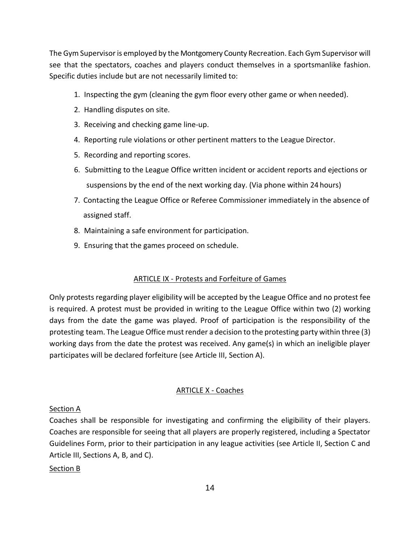The Gym Supervisoris employed by the Montgomery County Recreation. Each Gym Supervisor will see that the spectators, coaches and players conduct themselves in a sportsmanlike fashion. Specific duties include but are not necessarily limited to:

- 1. Inspecting the gym (cleaning the gym floor every other game or when needed).
- 2. Handling disputes on site.
- 3. Receiving and checking game line-up.
- 4. Reporting rule violations or other pertinent matters to the League Director.
- 5. Recording and reporting scores.
- 6. Submitting to the League Office written incident or accident reports and ejections or suspensions by the end of the next working day. (Via phone within 24 hours)
- 7. Contacting the League Office or Referee Commissioner immediately in the absence of assigned staff.
- 8. Maintaining a safe environment for participation.
- 9. Ensuring that the games proceed on schedule.

#### ARTICLE IX - Protests and Forfeiture of Games

Only protests regarding player eligibility will be accepted by the League Office and no protest fee is required. A protest must be provided in writing to the League Office within two (2) working days from the date the game was played. Proof of participation is the responsibility of the protesting team. The League Office must render a decision to the protesting party within three (3) working days from the date the protest was received. Any game(s) in which an ineligible player participates will be declared forfeiture (see Article III, Section A).

#### ARTICLE X - Coaches

#### Section A

Coaches shall be responsible for investigating and confirming the eligibility of their players. Coaches are responsible for seeing that all players are properly registered, including a Spectator Guidelines Form, prior to their participation in any league activities (see Article II, Section C and Article III, Sections A, B, and C).

#### Section B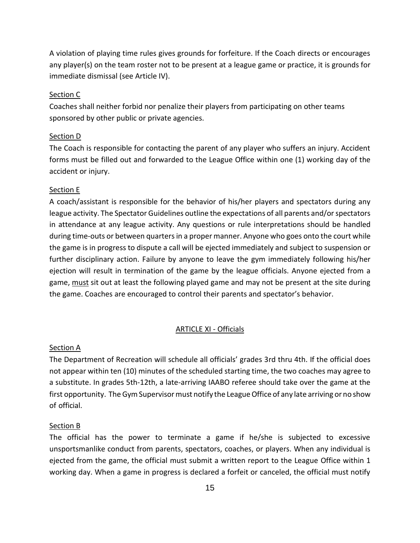A violation of playing time rules gives grounds for forfeiture. If the Coach directs or encourages any player(s) on the team roster not to be present at a league game or practice, it is grounds for immediate dismissal (see Article IV).

#### Section C

Coaches shall neither forbid nor penalize their players from participating on other teams sponsored by other public or private agencies.

#### Section D

The Coach is responsible for contacting the parent of any player who suffers an injury. Accident forms must be filled out and forwarded to the League Office within one (1) working day of the accident or injury.

#### Section E

A coach/assistant is responsible for the behavior of his/her players and spectators during any league activity. The Spectator Guidelines outline the expectations of all parents and/or spectators in attendance at any league activity. Any questions or rule interpretations should be handled during time-outs or between quarters in a proper manner. Anyone who goes onto the court while the game is in progress to dispute a call will be ejected immediately and subject to suspension or further disciplinary action. Failure by anyone to leave the gym immediately following his/her ejection will result in termination of the game by the league officials. Anyone ejected from a game, must sit out at least the following played game and may not be present at the site during the game. Coaches are encouraged to control their parents and spectator's behavior.

#### ARTICLE XI - Officials

#### Section A

The Department of Recreation will schedule all officials' grades 3rd thru 4th. If the official does not appear within ten (10) minutes of the scheduled starting time, the two coaches may agree to a substitute. In grades 5th-12th, a late-arriving IAABO referee should take over the game at the first opportunity. The Gym Supervisor must notify the League Office of any late arriving or no show of official.

#### Section B

The official has the power to terminate a game if he/she is subjected to excessive unsportsmanlike conduct from parents, spectators, coaches, or players. When any individual is ejected from the game, the official must submit a written report to the League Office within 1 working day. When a game in progress is declared a forfeit or canceled, the official must notify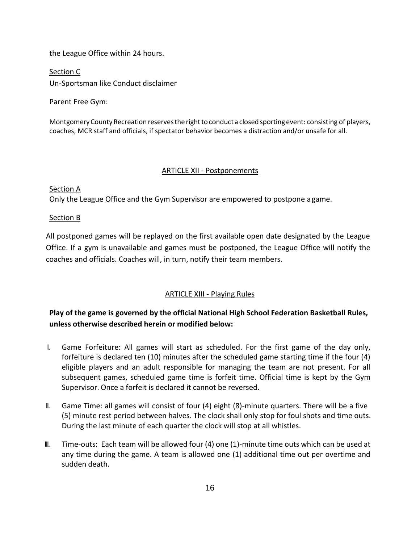the League Office within 24 hours.

Section C Un-Sportsman like Conduct disclaimer

Parent Free Gym:

Montgomery County Recreation reserves the right to conduct a closed sporting event: consisting of players, coaches, MCR staff and officials, if spectator behavior becomes a distraction and/or unsafe for all.

#### ARTICLE XII - Postponements

Section A Only the League Office and the Gym Supervisor are empowered to postpone agame.

#### Section B

All postponed games will be replayed on the first available open date designated by the League Office. If a gym is unavailable and games must be postponed, the League Office will notify the coaches and officials. Coaches will, in turn, notify their team members.

#### ARTICLE XIII - Playing Rules

**Play of the game is governed by the official National High School Federation Basketball Rules, unless otherwise described herein or modified below:**

- I. Game Forfeiture: All games will start as scheduled. For the first game of the day only, forfeiture is declared ten (10) minutes after the scheduled game starting time if the four (4) eligible players and an adult responsible for managing the team are not present. For all subsequent games, scheduled game time is forfeit time. Official time is kept by the Gym Supervisor. Once a forfeit is declared it cannot be reversed.
- II. Game Time: all games will consist of four (4) eight (8)-minute quarters. There will be a five (5) minute rest period between halves. The clock shall only stop for foul shots and time outs. During the last minute of each quarter the clock will stop at all whistles.
- III. Time-outs: Each team will be allowed four (4) one (1)-minute time outs which can be used at any time during the game. A team is allowed one (1) additional time out per overtime and sudden death.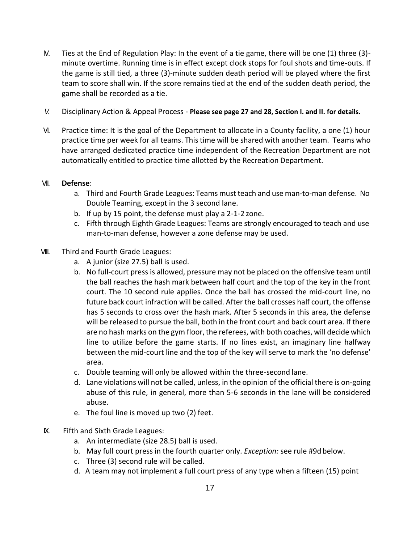- IV. Ties at the End of Regulation Play: In the event of a tie game, there will be one (1) three (3) minute overtime. Running time is in effect except clock stops for foul shots and time-outs. If the game is still tied, a three (3)-minute sudden death period will be played where the first team to score shall win. If the score remains tied at the end of the sudden death period, the game shall be recorded as a tie.
- *V.* Disciplinary Action & Appeal Process **Please see page 27 and 28, Section I. and II. for details.**
- VI. Practice time: It is the goal of the Department to allocate in a County facility, a one (1) hour practice time per week for all teams. Thistime will be shared with another team. Teams who have arranged dedicated practice time independent of the Recreation Department are not automatically entitled to practice time allotted by the Recreation Department.

#### VII. **Defense**:

- a. Third and Fourth Grade Leagues: Teams must teach and use man-to-man defense. No Double Teaming, except in the 3 second lane.
- b. If up by 15 point, the defense must play a 2-1-2 zone.
- c. Fifth through Eighth Grade Leagues: Teams are strongly encouraged to teach and use man-to-man defense, however a zone defense may be used.
- VIII. Third and Fourth Grade Leagues:
	- a. A junior (size 27.5) ball is used.
	- b. No full-court press is allowed, pressure may not be placed on the offensive team until the ball reaches the hash mark between half court and the top of the key in the front court. The 10 second rule applies. Once the ball has crossed the mid-court line, no future back court infraction will be called. After the ball crosses half court, the offense has 5 seconds to cross over the hash mark. After 5 seconds in this area, the defense will be released to pursue the ball, both in the front court and back court area. If there are no hash marks on the gym floor, the referees, with both coaches, will decide which line to utilize before the game starts. If no lines exist, an imaginary line halfway between the mid-court line and the top of the key will serve to mark the 'no defense' area.
	- c. Double teaming will only be allowed within the three-second lane.
	- d. Lane violations will not be called, unless, in the opinion of the official there is on-going abuse of this rule, in general, more than 5-6 seconds in the lane will be considered abuse.
	- e. The foul line is moved up two (2) feet.
- IX. Fifth and Sixth Grade Leagues:
	- a. An intermediate (size 28.5) ball is used.
	- b. May full court press in the fourth quarter only. *Exception:* see rule #9d below.
	- c. Three (3) second rule will be called.
	- d. A team may not implement a full court press of any type when a fifteen (15) point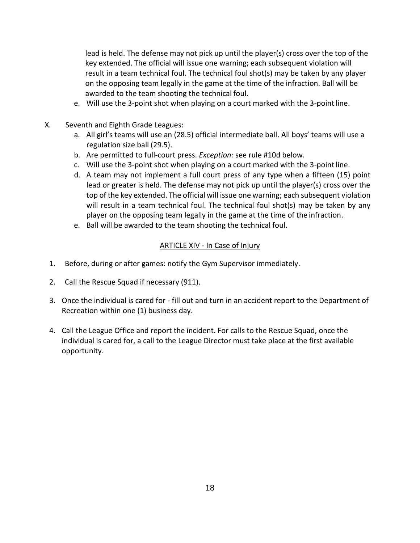lead is held. The defense may not pick up until the player(s) cross over the top of the key extended. The official will issue one warning; each subsequent violation will result in a team technical foul. The technical foul shot(s) may be taken by any player on the opposing team legally in the game at the time of the infraction. Ball will be awarded to the team shooting the technical foul.

- e. Will use the 3-point shot when playing on a court marked with the 3-pointline.
- <span id="page-18-0"></span>X. Seventh and Eighth Grade Leagues:
	- a. All girl's teams will use an (28.5) official intermediate ball. All boys' teams will use a regulation size ball (29.5).
	- b. Are permitted to full-court press. *Exception:* see rule #10d below.
	- c. Will use the 3-point shot when playing on a court marked with the 3-pointline.
	- d. A team may not implement a full court press of any type when a fifteen (15) point lead or greater is held. The defense may not pick up until the player(s) cross over the top of the key extended. The official will issue one warning; each subsequent violation will result in a team technical foul. The technical foul shot(s) may be taken by any player on the opposing team legally in the game at the time of the infraction.
	- e. Ball will be awarded to the team shooting the technical foul.

#### ARTICLE XIV - In Case of Injury

- 1. Before, during or after games: notify the Gym Supervisor immediately.
- 2. Call the Rescue Squad if necessary (911).
- 3. Once the individual is cared for fill out and turn in an accident report to the Department of Recreation within one (1) business day.
- 4. Call the League Office and report the incident. For calls to the Rescue Squad, once the individual is cared for, a call to the League Director must take place at the first available opportunity.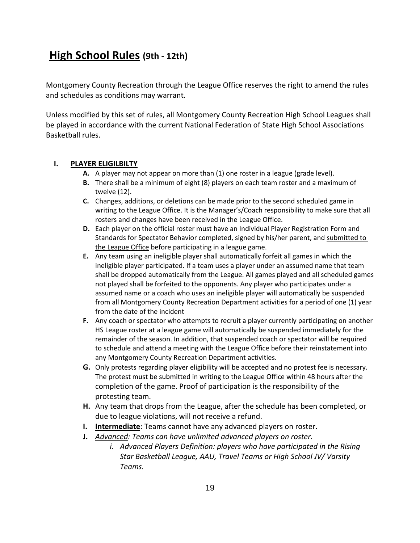## **High School Rules (9th - 12th)**

Montgomery County Recreation through the League Office reserves the right to amend the rules and schedules as conditions may warrant.

Unless modified by this set of rules, all Montgomery County Recreation High School Leagues shall be played in accordance with the current National Federation of State High School Associations Basketball rules.

#### **I. PLAYER ELIGILBILTY**

- **A.** A player may not appear on more than (1) one roster in a league (grade level).
- **B.** There shall be a minimum of eight (8) players on each team roster and a maximum of twelve (12).
- **C.** Changes, additions, or deletions can be made prior to the second scheduled game in writing to the League Office. It is the Manager's/Coach responsibility to make sure that all rosters and changes have been received in the League Office.
- **D.** Each player on the official roster must have an Individual Player Registration Form and Standards for Spectator Behavior completed, signed by his/her parent, and submitted to the League Office before participating in a league game.
- **E.** Any team using an ineligible player shall automatically forfeit all games in which the ineligible player participated. If a team uses a player under an assumed name that team shall be dropped automatically from the League. All games played and all scheduled games not played shall be forfeited to the opponents. Any player who participates under a assumed name or a coach who uses an ineligible player will automatically be suspended from all Montgomery County Recreation Department activities for a period of one (1) year from the date of the incident
- **F.** Any coach or spectator who attempts to recruit a player currently participating on another HS League roster at a league game will automatically be suspended immediately for the remainder of the season. In addition, that suspended coach or spectator will be required to schedule and attend a meeting with the League Office before their reinstatement into any Montgomery County Recreation Department activities.
- **G.** Only protests regarding player eligibility will be accepted and no protest fee is necessary. The protest must be submitted in writing to the League Office within 48 hours after the completion of the game. Proof of participation is the responsibility of the protesting team.
- **H.** Any team that drops from the League, after the schedule has been completed, or due to league violations, will not receive a refund.
- **I. Intermediate**: Teams cannot have any advanced players on roster.
- **J.** *Advanced: Teams can have unlimited advanced players on roster.* 
	- *i. Advanced Players Definition: players who have participated in the Rising Star Basketball League, AAU, Travel Teams or High School JV/ Varsity Teams.*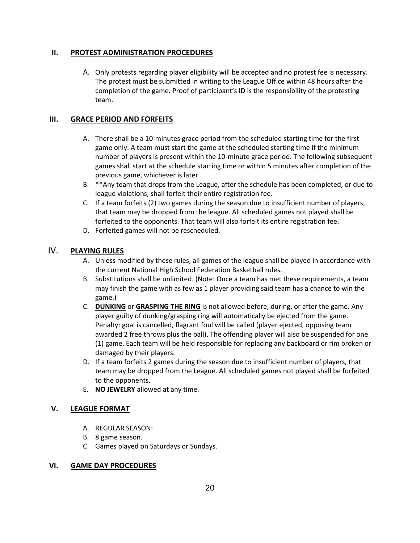#### **II. PROTEST ADMINISTRATION PROCEDURES**

A. Only protests regarding player eligibility will be accepted and no protest fee is necessary. The protest must be submitted in writing to the League Office within 48 hours after the completion of the game. Proof of participant's ID is the responsibility of the protesting team.

#### **III. GRACE PERIOD AND FORFEITS**

- A. There shall be a 10-minutes grace period from the scheduled starting time for the first game only. A team must start the game at the scheduled starting time if the minimum number of players is present within the 10-minute grace period. The following subsequent games shall start at the schedule starting time or within 5 minutes after completion of the previous game, whichever is later.
- B. \*\*Any team that drops from the League, after the schedule has been completed, or due to league violations, shall forfeit their entire registration fee.
- C. If a team forfeits (2) two games during the season due to insufficient number of players, that team may be dropped from the league. All scheduled games not played shall be forfeited to the opponents. That team will also forfeit its entire registration fee.
- D. Forfeited games will not be rescheduled.

#### IV. **PLAYING RULES**

- A. Unless modified by these rules, all games of the league shall be played in accordance with the current National High School Federation Basketball rules.
- B. Substitutions shall be unlimited. (Note: Once a team has met these requirements, a team may finish the game with as few as 1 player providing said team has a chance to win the game.)
- C. **DUNKING** or **GRASPING THE RING** is not allowed before, during, or after the game. Any player guilty of dunking/grasping ring will automatically be ejected from the game. Penalty: goal is cancelled, flagrant foul will be called (player ejected, opposing team awarded 2 free throws plus the ball). The offending player will also be suspended for one (1) game. Each team will be held responsible for replacing any backboard or rim broken or damaged by their players.
- D. If a team forfeits 2 games during the season due to insufficient number of players, that team may be dropped from the League. All scheduled games not played shall be forfeited to the opponents.
- E. **NO JEWELRY** allowed at any time.

#### **V. LEAGUE FORMAT**

- A. REGULAR SEASON:
- B. 8 game season.
- C. Games played on Saturdays or Sundays.

#### **VI. GAME DAY PROCEDURES**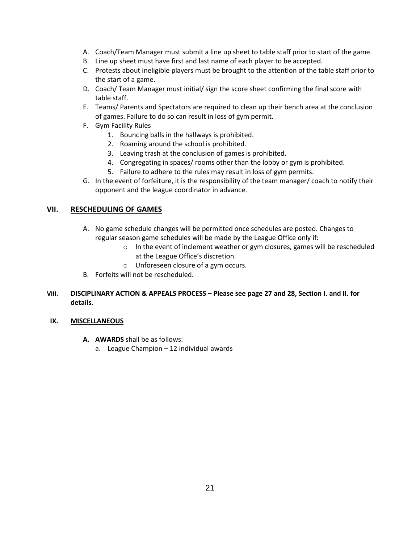- A. Coach/Team Manager must submit a line up sheet to table staff prior to start of the game.
- B. Line up sheet must have first and last name of each player to be accepted.
- C. Protests about ineligible players must be brought to the attention of the table staff prior to the start of a game.
- D. Coach/ Team Manager must initial/ sign the score sheet confirming the final score with table staff.
- E. Teams/ Parents and Spectators are required to clean up their bench area at the conclusion of games. Failure to do so can result in loss of gym permit.
- F. Gym Facility Rules
	- 1. Bouncing balls in the hallways is prohibited.
	- 2. Roaming around the school is prohibited.
	- 3. Leaving trash at the conclusion of games is prohibited.
	- 4. Congregating in spaces/ rooms other than the lobby or gym is prohibited.
	- 5. Failure to adhere to the rules may result in loss of gym permits.
- G. In the event of forfeiture, it is the responsibility of the team manager/ coach to notify their opponent and the league coordinator in advance.

#### **VII. RESCHEDULING OF GAMES**

- A. No game schedule changes will be permitted once schedules are posted. Changes to regular season game schedules will be made by the League Office only if:
	- o In the event of inclement weather or gym closures, games will be rescheduled at the League Office's discretion.
	- o Unforeseen closure of a gym occurs.
- B. Forfeits will not be rescheduled.

#### **VIII. DISCIPLINARY ACTION & APPEALS PROCESS – Please see page 27 and 28, Section I. and II. for details.**

#### **IX. MISCELLANEOUS**

- **A. AWARDS** shall be as follows:
	- a. League Champion 12 individual awards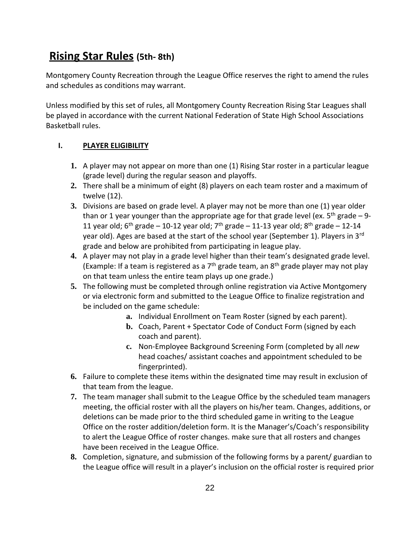## **Rising Star Rules (5th- 8th)**

Montgomery County Recreation through the League Office reserves the right to amend the rules and schedules as conditions may warrant.

Unless modified by this set of rules, all Montgomery County Recreation Rising Star Leagues shall be played in accordance with the current National Federation of State High School Associations Basketball rules.

#### **I. PLAYER ELIGIBILITY**

- **1.** A player may not appear on more than one (1) Rising Star roster in a particular league (grade level) during the regular season and playoffs.
- **2.** There shall be a minimum of eight (8) players on each team roster and a maximum of twelve (12).
- **3.** Divisions are based on grade level. A player may not be more than one (1) year older than or 1 year younger than the appropriate age for that grade level (ex.  $5<sup>th</sup>$  grade – 9-11 year old;  $6^{th}$  grade – 10-12 year old;  $7^{th}$  grade – 11-13 year old;  $8^{th}$  grade – 12-14 year old). Ages are based at the start of the school year (September 1). Players in 3rd grade and below are prohibited from participating in league play.
- **4.** A player may not play in a grade level higher than their team's designated grade level. (Example: If a team is registered as a  $7<sup>th</sup>$  grade team, an  $8<sup>th</sup>$  grade player may not play on that team unless the entire team plays up one grade.)
- **5.** The following must be completed through online registration via Active Montgomery or via electronic form and submitted to the League Office to finalize registration and be included on the game schedule:
	- **a.** Individual Enrollment on Team Roster (signed by each parent).
	- **b.** Coach, Parent + Spectator Code of Conduct Form (signed by each coach and parent).
	- **c.** Non-Employee Background Screening Form (completed by all *new* head coaches/ assistant coaches and appointment scheduled to be fingerprinted).
- **6.** Failure to complete these items within the designated time may result in exclusion of that team from the league.
- **7.** The team manager shall submit to the League Office by the scheduled team managers meeting, the official roster with all the players on his/her team. Changes, additions, or deletions can be made prior to the third scheduled game in writing to the League Office on the roster addition/deletion form. It is the Manager's/Coach's responsibility to alert the League Office of roster changes. make sure that all rosters and changes have been received in the League Office.
- **8.** Completion, signature, and submission of the following forms by a parent/ guardian to the League office will result in a player's inclusion on the official roster is required prior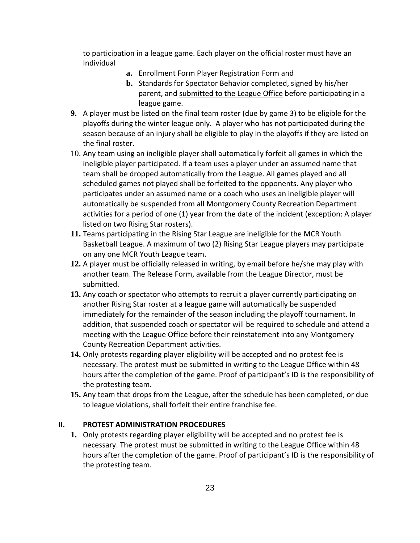to participation in a league game. Each player on the official roster must have an Individual

- **a.** Enrollment Form Player Registration Form and
- **b.** Standards for Spectator Behavior completed, signed by his/her parent, and submitted to the League Office before participating in a league game.
- **9.** A player must be listed on the final team roster (due by game 3) to be eligible for the playoffs during the winter league only. A player who has not participated during the season because of an injury shall be eligible to play in the playoffs if they are listed on the final roster.
- 10. Any team using an ineligible player shall automatically forfeit all games in which the ineligible player participated. If a team uses a player under an assumed name that team shall be dropped automatically from the League. All games played and all scheduled games not played shall be forfeited to the opponents. Any player who participates under an assumed name or a coach who uses an ineligible player will automatically be suspended from all Montgomery County Recreation Department activities for a period of one (1) year from the date of the incident (exception: A player listed on two Rising Star rosters).
- **11.** Teams participating in the Rising Star League are ineligible for the MCR Youth Basketball League. A maximum of two (2) Rising Star League players may participate on any one MCR Youth League team.
- **12.** A player must be officially released in writing, by email before he/she may play with another team. The Release Form, available from the League Director, must be submitted.
- **13.** Any coach or spectator who attempts to recruit a player currently participating on another Rising Star roster at a league game will automatically be suspended immediately for the remainder of the season including the playoff tournament. In addition, that suspended coach or spectator will be required to schedule and attend a meeting with the League Office before their reinstatement into any Montgomery County Recreation Department activities.
- **14.** Only protests regarding player eligibility will be accepted and no protest fee is necessary. The protest must be submitted in writing to the League Office within 48 hours after the completion of the game. Proof of participant's ID is the responsibility of the protesting team.
- **15.** Any team that drops from the League, after the schedule has been completed, or due to league violations, shall forfeit their entire franchise fee.

#### **II. PROTEST ADMINISTRATION PROCEDURES**

**1.** Only protests regarding player eligibility will be accepted and no protest fee is necessary. The protest must be submitted in writing to the League Office within 48 hours after the completion of the game. Proof of participant's ID is the responsibility of the protesting team.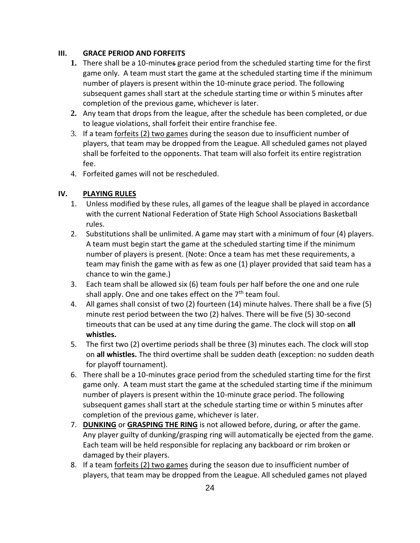#### **III. GRACE PERIOD AND FORFEITS**

- **1.** There shall be a 10-minutes grace period from the scheduled starting time for the first game only. A team must start the game at the scheduled starting time if the minimum number of players is present within the 10-minute grace period. The following subsequent games shall start at the schedule starting time or within 5 minutes after completion of the previous game, whichever is later.
- **2.** Any team that drops from the league, after the schedule has been completed, or due to league violations, shall forfeit their entire franchise fee.
- 3. If a team forfeits (2) two games during the season due to insufficient number of players, that team may be dropped from the League. All scheduled games not played shall be forfeited to the opponents. That team will also forfeit its entire registration fee.
- 4. Forfeited games will not be rescheduled.

#### **IV. PLAYING RULES**

- 1. Unless modified by these rules, all games of the league shall be played in accordance with the current National Federation of State High School Associations Basketball rules.
- 2. Substitutions shall be unlimited. A game may start with a minimum of four (4) players. A team must begin start the game at the scheduled starting time if the minimum number of players is present. (Note: Once a team has met these requirements, a team may finish the game with as few as one (1) player provided that said team has a chance to win the game.)
- 3. Each team shall be allowed six (6) team fouls per half before the one and one rule shall apply. One and one takes effect on the  $7<sup>th</sup>$  team foul.
- 4. All games shall consist of two (2) fourteen (14) minute halves. There shall be a five (5) minute rest period between the two (2) halves. There will be five (5) 30-second timeouts that can be used at any time during the game. The clock will stop on **all whistles.**
- 5. The first two (2) overtime periods shall be three (3) minutes each. The clock will stop on **all whistles.** The third overtime shall be sudden death (exception: no sudden death for playoff tournament).
- 6. There shall be a 10-minutes grace period from the scheduled starting time for the first game only. A team must start the game at the scheduled starting time if the minimum number of players is present within the 10-minute grace period. The following subsequent games shall start at the schedule starting time or within 5 minutes after completion of the previous game, whichever is later.
- 7. **DUNKING** or **GRASPING THE RING** is not allowed before, during, or after the game. Any player guilty of dunking/grasping ring will automatically be ejected from the game. Each team will be held responsible for replacing any backboard or rim broken or damaged by their players.
- 8. If a team forfeits (2) two games during the season due to insufficient number of players, that team may be dropped from the League. All scheduled games not played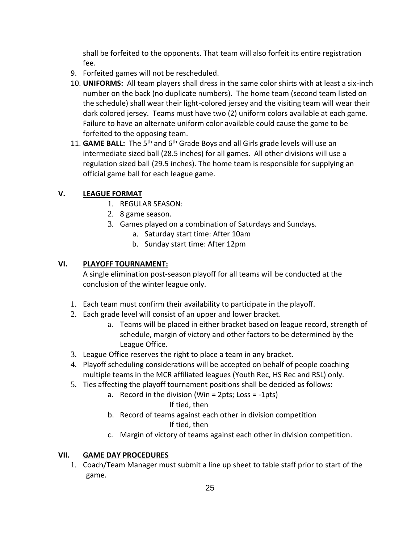shall be forfeited to the opponents. That team will also forfeit its entire registration fee.

- 9. Forfeited games will not be rescheduled.
- 10. **UNIFORMS:** All team players shall dress in the same color shirts with at least a six-inch number on the back (no duplicate numbers). The home team (second team listed on the schedule) shall wear their light-colored jersey and the visiting team will wear their dark colored jersey. Teams must have two (2) uniform colors available at each game. Failure to have an alternate uniform color available could cause the game to be forfeited to the opposing team.
- 11. **GAME BALL:** The 5<sup>th</sup> and 6<sup>th</sup> Grade Boys and all Girls grade levels will use an intermediate sized ball (28.5 inches) for all games. All other divisions will use a regulation sized ball (29.5 inches). The home team is responsible for supplying an official game ball for each league game.

#### **V. LEAGUE FORMAT**

- 1. REGULAR SEASON:
- 2. 8 game season.
- 3. Games played on a combination of Saturdays and Sundays.
	- a. Saturday start time: After 10am
	- b. Sunday start time: After 12pm

#### **VI. PLAYOFF TOURNAMENT:**

A single elimination post-season playoff for all teams will be conducted at the conclusion of the winter league only.

- 1. Each team must confirm their availability to participate in the playoff.
- 2. Each grade level will consist of an upper and lower bracket.
	- a. Teams will be placed in either bracket based on league record, strength of schedule, margin of victory and other factors to be determined by the League Office.
- 3. League Office reserves the right to place a team in any bracket.
- 4. Playoff scheduling considerations will be accepted on behalf of people coaching multiple teams in the MCR affiliated leagues (Youth Rec, HS Rec and RSL) only.
- 5. Ties affecting the playoff tournament positions shall be decided as follows:
	- a. Record in the division (Win = 2pts; Loss = -1pts)
		- If tied, then
	- b. Record of teams against each other in division competition If tied, then
	- c. Margin of victory of teams against each other in division competition.

#### **VII. GAME DAY PROCEDURES**

1. Coach/Team Manager must submit a line up sheet to table staff prior to start of the game.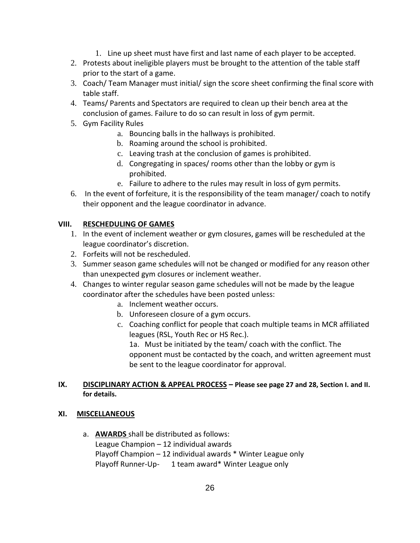- 1. Line up sheet must have first and last name of each player to be accepted.
- 2. Protests about ineligible players must be brought to the attention of the table staff prior to the start of a game.
- 3. Coach/ Team Manager must initial/ sign the score sheet confirming the final score with table staff.
- 4. Teams/ Parents and Spectators are required to clean up their bench area at the conclusion of games. Failure to do so can result in loss of gym permit.
- 5. Gym Facility Rules
	- a. Bouncing balls in the hallways is prohibited.
	- b. Roaming around the school is prohibited.
	- c. Leaving trash at the conclusion of games is prohibited.
	- d. Congregating in spaces/ rooms other than the lobby or gym is prohibited.
	- e. Failure to adhere to the rules may result in loss of gym permits.
- 6. In the event of forfeiture, it is the responsibility of the team manager/ coach to notify their opponent and the league coordinator in advance.

#### **VIII. RESCHEDULING OF GAMES**

- 1. In the event of inclement weather or gym closures, games will be rescheduled at the league coordinator's discretion.
- 2. Forfeits will not be rescheduled.
- 3. Summer season game schedules will not be changed or modified for any reason other than unexpected gym closures or inclement weather.
- 4. Changes to winter regular season game schedules will not be made by the league coordinator after the schedules have been posted unless:
	- a. Inclement weather occurs.
	- b. Unforeseen closure of a gym occurs.
	- c. Coaching conflict for people that coach multiple teams in MCR affiliated leagues (RSL, Youth Rec or HS Rec.).

1a. Must be initiated by the team/ coach with the conflict. The opponent must be contacted by the coach, and written agreement must be sent to the league coordinator for approval.

#### **IX. DISCIPLINARY ACTION & APPEAL PROCESS – Please see page 27 and 28, Section I. and II. for details.**

#### **XI. MISCELLANEOUS**

a. **AWARDS** shall be distributed as follows: League Champion – 12 individual awards Playoff Champion – 12 individual awards \* Winter League only Playoff Runner-Up- 1 team award\* Winter League only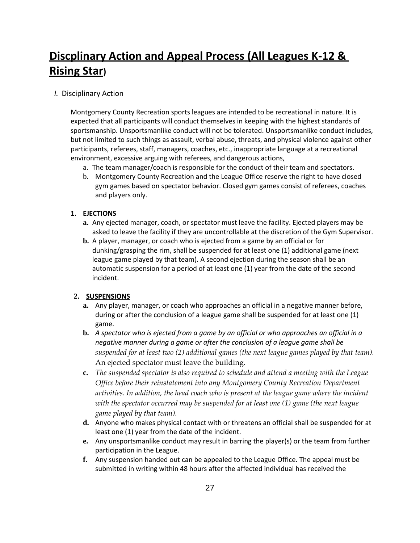## **Discplinary Action and Appeal Process (All Leagues K-12 & Rising Star)**

*I.* Disciplinary Action

Montgomery County Recreation sports leagues are intended to be recreational in nature. It is expected that all participants will conduct themselves in keeping with the highest standards of sportsmanship. Unsportsmanlike conduct will not be tolerated. Unsportsmanlike conduct includes, but not limited to such things as assault, verbal abuse, threats, and physical violence against other participants, referees, staff, managers, coaches, etc., inappropriate language at a recreational environment, excessive arguing with referees, and dangerous actions,

- a. The team manager/coach is responsible for the conduct of their team and spectators.
- b. Montgomery County Recreation and the League Office reserve the right to have closed gym games based on spectator behavior. Closed gym games consist of referees, coaches and players only.

#### **1. EJECTIONS**

- **a.** Any ejected manager, coach, or spectator must leave the facility. Ejected players may be asked to leave the facility if they are uncontrollable at the discretion of the Gym Supervisor.
- **b.** A player, manager, or coach who is ejected from a game by an official or for dunking/grasping the rim, shall be suspended for at least one (1) additional game (next league game played by that team). A second ejection during the season shall be an automatic suspension for a period of at least one (1) year from the date of the second incident.

#### **2. SUSPENSIONS**

- **a.** Any player, manager, or coach who approaches an official in a negative manner before, during or after the conclusion of a league game shall be suspended for at least one (1) game.
- **b.** *A spectator who is ejected from a game by an official or who approaches an official in a negative manner during a game or after the conclusion of a league game shall be suspended for at least two (2) additional games (the next league games played by that team).*  An ejected spectator must leave the building.
- **c.** *The suspended spectator is also required to schedule and attend a meeting with the League Office before their reinstatement into any Montgomery County Recreation Department*  activities. In addition, the head coach who is present at the league game where the incident *with the spectator occurred may be suspended for at least one (1) game (the next league game played by that team).*
- **d.** Anyone who makes physical contact with or threatens an official shall be suspended for at least one (1) year from the date of the incident.
- **e.** Any unsportsmanlike conduct may result in barring the player(s) or the team from further participation in the League.
- **f.** Any suspension handed out can be appealed to the League Office. The appeal must be submitted in writing within 48 hours after the affected individual has received the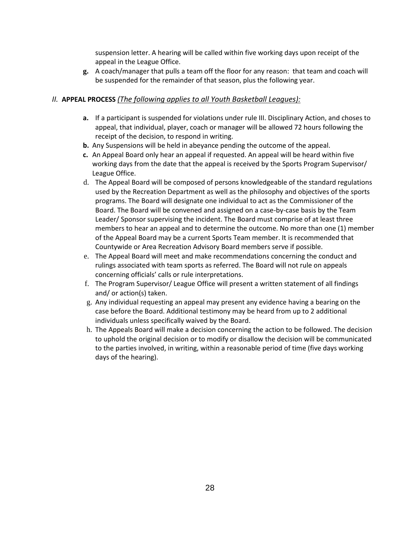suspension letter. A hearing will be called within five working days upon receipt of the appeal in the League Office.

**g.** A coach/manager that pulls a team off the floor for any reason: that team and coach will be suspended for the remainder of that season, plus the following year.

#### *II.* **APPEAL PROCESS** *(The following applies to all Youth Basketball Leagues):*

- **a.** If a participant is suspended for violations under rule III. Disciplinary Action, and choses to appeal, that individual, player, coach or manager will be allowed 72 hours following the receipt of the decision, to respond in writing.
- **b.** Any Suspensions will be held in abeyance pending the outcome of the appeal.
- **c.** An Appeal Board only hear an appeal if requested. An appeal will be heard within five working days from the date that the appeal is received by the Sports Program Supervisor/ League Office.
- d. The Appeal Board will be composed of persons knowledgeable of the standard regulations used by the Recreation Department as well as the philosophy and objectives of the sports programs. The Board will designate one individual to act as the Commissioner of the Board. The Board will be convened and assigned on a case-by-case basis by the Team Leader/ Sponsor supervising the incident. The Board must comprise of at least three members to hear an appeal and to determine the outcome. No more than one (1) member of the Appeal Board may be a current Sports Team member. It is recommended that Countywide or Area Recreation Advisory Board members serve if possible.
- e. The Appeal Board will meet and make recommendations concerning the conduct and rulings associated with team sports as referred. The Board will not rule on appeals concerning officials' calls or rule interpretations.
- f. The Program Supervisor/ League Office will present a written statement of all findings and/ or action(s) taken.
- g. Any individual requesting an appeal may present any evidence having a bearing on the case before the Board. Additional testimony may be heard from up to 2 additional individuals unless specifically waived by the Board.
- h. The Appeals Board will make a decision concerning the action to be followed. The decision to uphold the original decision or to modify or disallow the decision will be communicated to the parties involved, in writing, within a reasonable period of time (five days working days of the hearing).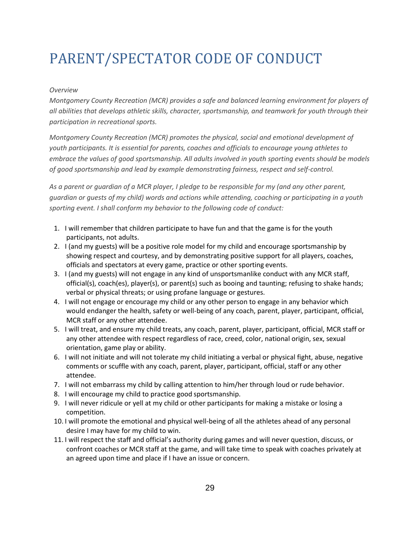# <span id="page-29-0"></span>PARENT/SPECTATOR CODE OF CONDUCT

#### *Overview*

*Montgomery County Recreation (MCR) provides a safe and balanced learning environment for players of all abilities that develops athletic skills, character, sportsmanship, and teamwork for youth through their participation in recreational sports.*

*Montgomery County Recreation (MCR) promotes the physical, social and emotional development of youth participants. It is essential for parents, coaches and officials to encourage young athletes to embrace the values of good sportsmanship. All adults involved in youth sporting events should be models of good sportsmanship and lead by example demonstrating fairness, respect and self-control.*

*As a parent or guardian of a MCR player, I pledge to be responsible for my (and any other parent, guardian or guests of my child) words and actions while attending, coaching or participating in a youth sporting event. I shall conform my behavior to the following code of conduct:*

- 1. I will remember that children participate to have fun and that the game is for the youth participants, not adults.
- 2. I (and my guests) will be a positive role model for my child and encourage sportsmanship by showing respect and courtesy, and by demonstrating positive support for all players, coaches, officials and spectators at every game, practice or other sporting events.
- 3. I (and my guests) will not engage in any kind of unsportsmanlike conduct with any MCR staff, official(s), coach(es), player(s), or parent(s) such as booing and taunting; refusing to shake hands; verbal or physical threats; or using profane language or gestures.
- 4. I will not engage or encourage my child or any other person to engage in any behavior which would endanger the health, safety or well-being of any coach, parent, player, participant, official, MCR staff or any other attendee.
- 5. I will treat, and ensure my child treats, any coach, parent, player, participant, official, MCR staff or any other attendee with respect regardless of race, creed, color, national origin, sex, sexual orientation, game play or ability.
- 6. I will not initiate and will not tolerate my child initiating a verbal or physical fight, abuse, negative comments or scuffle with any coach, parent, player, participant, official, staff or any other attendee.
- 7. I will not embarrass my child by calling attention to him/her through loud or rude behavior.
- 8. I will encourage my child to practice good sportsmanship.
- 9. I will never ridicule or yell at my child or other participants for making a mistake or losing a competition.
- 10. I will promote the emotional and physical well-being of all the athletes ahead of any personal desire I may have for my child to win.
- 11. I will respect the staff and official's authority during games and will never question, discuss, or confront coaches or MCR staff at the game, and will take time to speak with coaches privately at an agreed upon time and place if I have an issue or concern.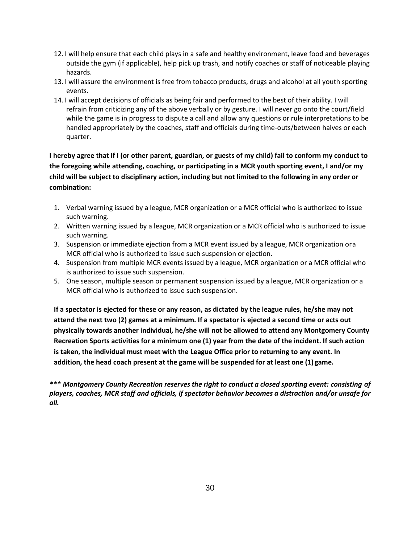- 12. I will help ensure that each child plays in a safe and healthy environment, leave food and beverages outside the gym (if applicable), help pick up trash, and notify coaches or staff of noticeable playing hazards.
- 13. I will assure the environment is free from tobacco products, drugs and alcohol at all youth sporting events.
- 14. I will accept decisions of officials as being fair and performed to the best of their ability. I will refrain from criticizing any of the above verbally or by gesture. I will never go onto the court/field while the game is in progress to dispute a call and allow any questions or rule interpretations to be handled appropriately by the coaches, staff and officials during time-outs/between halves or each quarter.

**I hereby agree that if I (or other parent, guardian, or guests of my child) fail to conform my conduct to the foregoing while attending, coaching, or participating in a MCR youth sporting event, I and/or my child will be subject to disciplinary action, including but not limited to the following in any order or combination:**

- 1. Verbal warning issued by a league, MCR organization or a MCR official who is authorized to issue such warning.
- 2. Written warning issued by a league, MCR organization or a MCR official who is authorized to issue such warning.
- 3. Suspension or immediate ejection from a MCR event issued by a league, MCR organization ora MCR official who is authorized to issue such suspension or ejection.
- 4. Suspension from multiple MCR events issued by a league, MCR organization or a MCR official who is authorized to issue such suspension.
- 5. One season, multiple season or permanent suspension issued by a league, MCR organization or a MCR official who is authorized to issue such suspension.

**If a spectator is ejected for these or any reason, as dictated by the league rules, he/she may not attend the next two (2) games at a minimum. If a spectator is ejected a second time or acts out physically towards another individual, he/she will not be allowed to attend any Montgomery County Recreation Sports activities for a minimum one (1) year from the date of the incident. If such action is taken, the individual must meet with the League Office prior to returning to any event. In addition, the head coach present at the game will be suspended for at least one (1) game.**

*\*\*\* Montgomery County Recreation reserves the right to conduct a closed sporting event: consisting of players, coaches, MCR staff and officials, if spectator behavior becomes a distraction and/or unsafe for all.*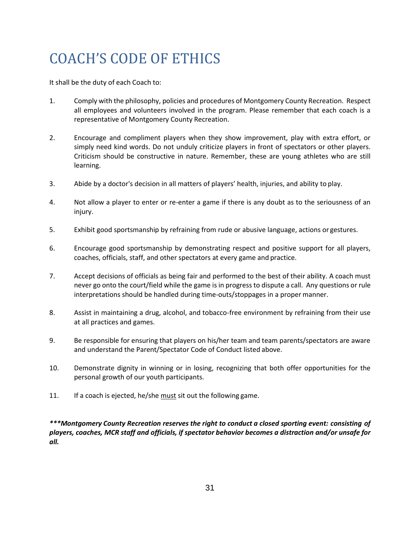# <span id="page-31-0"></span>COACH'S CODE OF ETHICS

It shall be the duty of each Coach to:

- 1. Comply with the philosophy, policies and procedures of Montgomery County Recreation. Respect all employees and volunteers involved in the program. Please remember that each coach is a representative of Montgomery County Recreation.
- 2. Encourage and compliment players when they show improvement, play with extra effort, or simply need kind words. Do not unduly criticize players in front of spectators or other players. Criticism should be constructive in nature. Remember, these are young athletes who are still learning.
- 3. Abide by a doctor's decision in all matters of players' health, injuries, and ability to play.
- 4. Not allow a player to enter or re-enter a game if there is any doubt as to the seriousness of an injury.
- 5. Exhibit good sportsmanship by refraining from rude or abusive language, actions or gestures.
- 6. Encourage good sportsmanship by demonstrating respect and positive support for all players, coaches, officials, staff, and other spectators at every game and practice.
- 7. Accept decisions of officials as being fair and performed to the best of their ability. A coach must never go onto the court/field while the game is in progress to dispute a call. Any questions or rule interpretations should be handled during time-outs/stoppages in a proper manner.
- 8. Assist in maintaining a drug, alcohol, and tobacco-free environment by refraining from their use at all practices and games.
- 9. Be responsible for ensuring that players on his/her team and team parents/spectators are aware and understand the Parent/Spectator Code of Conduct listed above.
- 10. Demonstrate dignity in winning or in losing, recognizing that both offer opportunities for the personal growth of our youth participants.
- 11. If a coach is ejected, he/she must sit out the following game.

*\*\*\*Montgomery County Recreation reserves the right to conduct a closed sporting event: consisting of players, coaches, MCR staff and officials, if spectator behavior becomes a distraction and/or unsafe for all.*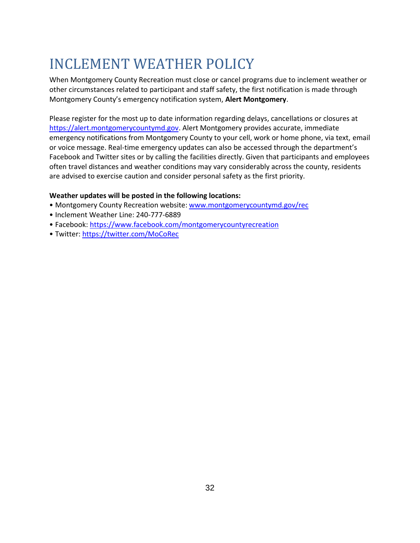## <span id="page-32-0"></span>INCLEMENT WEATHER POLICY

When Montgomery County Recreation must close or cancel programs due to inclement weather or other circumstances related to participant and staff safety, the first notification is made through Montgomery County's emergency notification system, **Alert Montgomery**.

Please register for the most up to date information regarding delays, cancellations or closures at [https://alert.montgomerycountymd.gov.](https://alert.montgomerycountymd.gov/) Alert Montgomery provides accurate, immediate emergency notifications from Montgomery County to your cell, work or home phone, via text, email or voice message. Real-time emergency updates can also be accessed through the department's Facebook and Twitter sites or by calling the facilities directly. Given that participants and employees often travel distances and weather conditions may vary considerably across the county, residents are advised to exercise caution and consider personal safety as the first priority.

#### **Weather updates will be posted in the following locations:**

- Montgomery County Recreation website: [www.montgomerycountymd.gov/rec](http://www.montgomerycountymd.gov/rec)
- Inclement Weather Line: 240-777-6889
- Facebook: <https://www.facebook.com/montgomerycountyrecreation>
- Twitter: <https://twitter.com/MoCoRec>